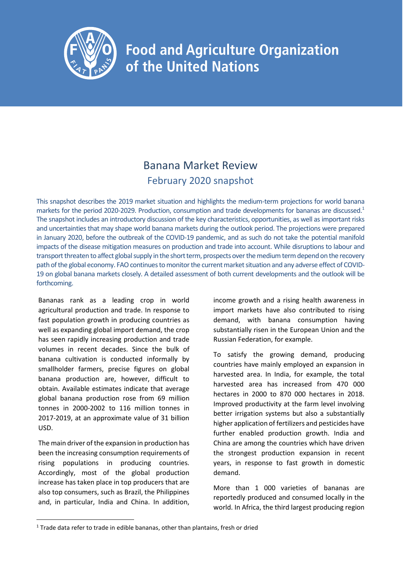

## **Food and Agriculture Organization** of the United Nations

## Banana Market Review February 2020 snapshot

This snapshot describes the 2019 market situation and highlights the medium-term projections for world banana markets for the period 2020-2029. Production, consumption and trade developments for bananas are discussed.<sup>1</sup> The snapshot includes an introductory discussion of the key characteristics, opportunities, as well as important risks and uncertainties that may shape world banana markets during the outlook period. The projections were prepared in January 2020, before the outbreak of the COVID-19 pandemic, and as such do not take the potential manifold impacts of the disease mitigation measures on production and trade into account. While disruptions to labour and transport threaten to affect global supply in the short term, prospects over the medium term depend on the recovery path of the global economy. FAO continues to monitor the current market situation and any adverse effect of COVID-19 on global banana markets closely. A detailed assessment of both current developments and the outlook will be forthcoming.

Bananas rank as a leading crop in world agricultural production and trade. In response to fast population growth in producing countries as well as expanding global import demand, the crop has seen rapidly increasing production and trade volumes in recent decades. Since the bulk of banana cultivation is conducted informally by smallholder farmers, precise figures on global banana production are, however, difficult to obtain. Available estimates indicate that average global banana production rose from 69 million tonnes in 2000-2002 to 116 million tonnes in 2017-2019, at an approximate value of 31 billion USD.

The main driver of the expansion in production has been the increasing consumption requirements of rising populations in producing countries. Accordingly, most of the global production increase has taken place in top producers that are also top consumers, such as Brazil, the Philippines and, in particular, India and China. In addition,

income growth and a rising health awareness in import markets have also contributed to rising demand, with banana consumption having substantially risen in the European Union and the Russian Federation, for example.

To satisfy the growing demand, producing countries have mainly employed an expansion in harvested area. In India, for example, the total harvested area has increased from 470 000 hectares in 2000 to 870 000 hectares in 2018. Improved productivity at the farm level involving better irrigation systems but also a substantially higher application of fertilizers and pesticides have further enabled production growth. India and China are among the countries which have driven the strongest production expansion in recent years, in response to fast growth in domestic demand.

More than 1 000 varieties of bananas are reportedly produced and consumed locally in the world. In Africa, the third largest producing region

<sup>&</sup>lt;sup>1</sup> Trade data refer to trade in edible bananas, other than plantains, fresh or dried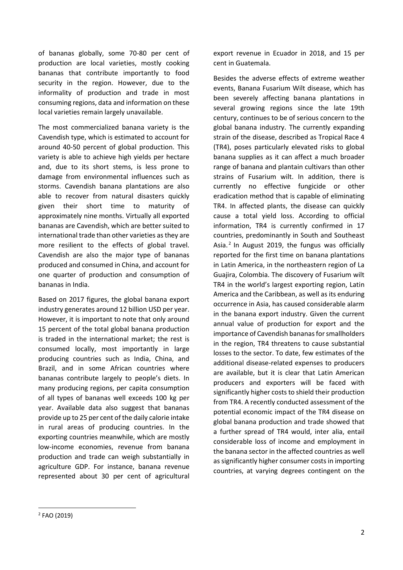of bananas globally, some 70-80 per cent of production are local varieties, mostly cooking bananas that contribute importantly to food security in the region. However, due to the informality of production and trade in most consuming regions, data and information on these local varieties remain largely unavailable.

The most commercialized banana variety is the Cavendish type, which is estimated to account for around 40-50 percent of global production. This variety is able to achieve high yields per hectare and, due to its short stems, is less prone to damage from environmental influences such as storms. Cavendish banana plantations are also able to recover from natural disasters quickly given their short time to maturity of approximately nine months. Virtually all exported bananas are Cavendish, which are better suited to international trade than other varieties as they are more resilient to the effects of global travel. Cavendish are also the major type of bananas produced and consumed in China, and account for one quarter of production and consumption of bananas in India.

Based on 2017 figures, the global banana export industry generates around 12 billion USD per year. However, it is important to note that only around 15 percent of the total global banana production is traded in the international market; the rest is consumed locally, most importantly in large producing countries such as India, China, and Brazil, and in some African countries where bananas contribute largely to people's diets. In many producing regions, per capita consumption of all types of bananas well exceeds 100 kg per year. Available data also suggest that bananas provide up to 25 per cent of the daily calorie intake in rural areas of producing countries. In the exporting countries meanwhile, which are mostly low-income economies, revenue from banana production and trade can weigh substantially in agriculture GDP. For instance, banana revenue represented about 30 per cent of agricultural export revenue in Ecuador in 2018, and 15 per cent in Guatemala.

Besides the adverse effects of extreme weather events, Banana Fusarium Wilt disease, which has been severely affecting banana plantations in several growing regions since the late 19th century, continues to be of serious concern to the global banana industry. The currently expanding strain of the disease, described as Tropical Race 4 (TR4), poses particularly elevated risks to global banana supplies as it can affect a much broader range of banana and plantain cultivars than other strains of Fusarium wilt. In addition, there is currently no effective fungicide or other eradication method that is capable of eliminating TR4. In affected plants, the disease can quickly cause a total yield loss. According to official information, TR4 is currently confirmed in 17 countries, predominantly in South and Southeast Asia.<sup>2</sup> In August 2019, the fungus was officially reported for the first time on banana plantations in Latin America, in the northeastern region of La Guajira, Colombia. The discovery of Fusarium wilt TR4 in the world's largest exporting region, Latin America and the Caribbean, as well as its enduring occurrence in Asia, has caused considerable alarm in the banana export industry. Given the current annual value of production for export and the importance of Cavendish bananas for smallholders in the region, TR4 threatens to cause substantial losses to the sector. To date, few estimates of the additional disease-related expenses to producers are available, but it is clear that Latin American producers and exporters will be faced with significantly higher costs to shield their production from TR4. A recently conducted assessment of the potential economic impact of the TR4 disease on global banana production and trade showed that a further spread of TR4 would, inter alia, entail considerable loss of income and employment in the banana sector in the affected countries as well as significantly higher consumer costs in importing countries, at varying degrees contingent on the

<sup>2</sup> FAO (2019)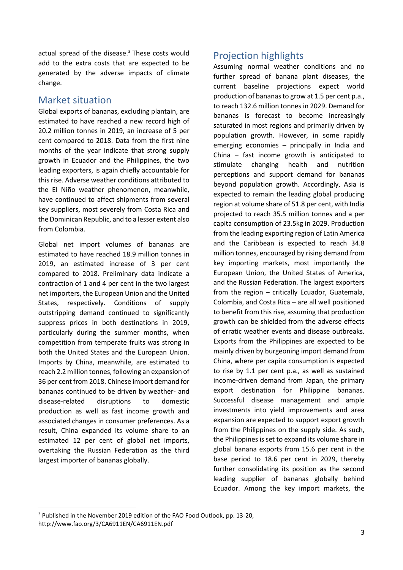actual spread of the disease. <sup>3</sup> These costs would add to the extra costs that are expected to be generated by the adverse impacts of climate change.

## Market situation

Global exports of bananas, excluding plantain, are estimated to have reached a new record high of 20.2 million tonnes in 2019, an increase of 5 per cent compared to 2018. Data from the first nine months of the year indicate that strong supply growth in Ecuador and the Philippines, the two leading exporters, is again chiefly accountable for this rise. Adverse weather conditions attributed to the El Niño weather phenomenon, meanwhile, have continued to affect shipments from several key suppliers, most severely from Costa Rica and the Dominican Republic, and to a lesser extent also from Colombia.

Global net import volumes of bananas are estimated to have reached 18.9 million tonnes in 2019, an estimated increase of 3 per cent compared to 2018. Preliminary data indicate a contraction of 1 and 4 per cent in the two largest net importers, the European Union and the United States, respectively. Conditions of supply outstripping demand continued to significantly suppress prices in both destinations in 2019, particularly during the summer months, when competition from temperate fruits was strong in both the United States and the European Union. Imports by China, meanwhile, are estimated to reach 2.2 million tonnes, following an expansion of 36 per cent from 2018. Chinese import demand for bananas continued to be driven by weather- and disease-related disruptions to domestic production as well as fast income growth and associated changes in consumer preferences. As a result, China expanded its volume share to an estimated 12 per cent of global net imports, overtaking the Russian Federation as the third largest importer of bananas globally.

## Projection highlights

Assuming normal weather conditions and no further spread of banana plant diseases, the current baseline projections expect world production of bananas to grow at 1.5 per cent p.a., to reach 132.6 million tonnes in 2029. Demand for bananas is forecast to become increasingly saturated in most regions and primarily driven by population growth. However, in some rapidly emerging economies – principally in India and China – fast income growth is anticipated to stimulate changing health and nutrition perceptions and support demand for bananas beyond population growth. Accordingly, Asia is expected to remain the leading global producing region at volume share of 51.8 per cent, with India projected to reach 35.5 million tonnes and a per capita consumption of 23.5kg in 2029. Production from the leading exporting region of Latin America and the Caribbean is expected to reach 34.8 million tonnes, encouraged by rising demand from key importing markets, most importantly the European Union, the United States of America, and the Russian Federation. The largest exporters from the region – critically Ecuador, Guatemala, Colombia, and Costa Rica – are all well positioned to benefit from this rise, assuming that production growth can be shielded from the adverse effects of erratic weather events and disease outbreaks. Exports from the Philippines are expected to be mainly driven by burgeoning import demand from China, where per capita consumption is expected to rise by 1.1 per cent p.a., as well as sustained income-driven demand from Japan, the primary export destination for Philippine bananas. Successful disease management and ample investments into yield improvements and area expansion are expected to support export growth from the Philippines on the supply side. As such, the Philippines is set to expand its volume share in global banana exports from 15.6 per cent in the base period to 18.6 per cent in 2029, thereby further consolidating its position as the second leading supplier of bananas globally behind Ecuador. Among the key import markets, the

<sup>&</sup>lt;sup>3</sup> Published in the November 2019 edition of the FAO Food Outlook, pp. 13-20, http://www.fao.org/3/CA6911EN/CA6911EN.pdf